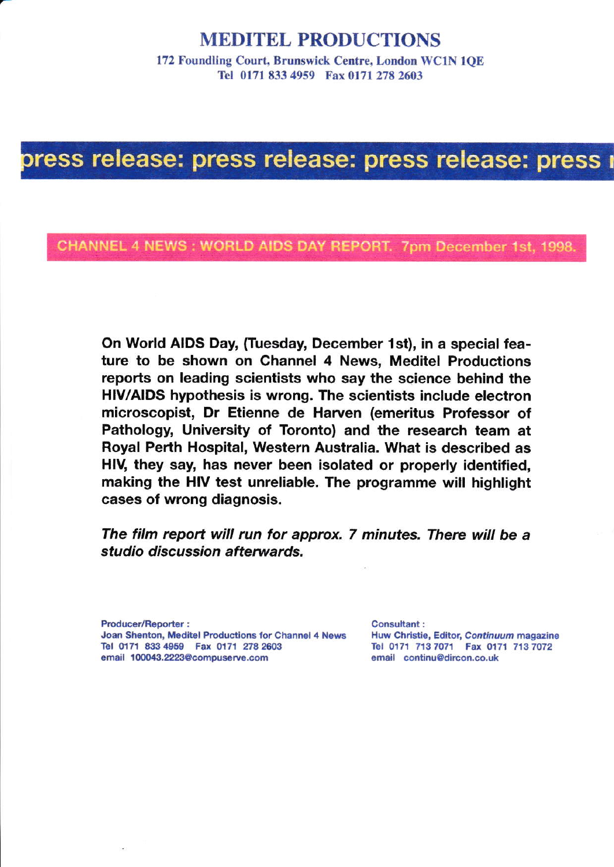#### MEDITEL PRODUCTIONS

172 Foundling Court, Brunswick Centre, London WCIN IQE Tel 0171 833 4959 Fax 0l7l 278 2603

## press release: press release: press release: press i

CHANNEL 4 NEWS: WORLD AIDS DAY REPORT. 7pm December 1st, 1998.

On World AIDS Day, (Tuesday, December 1st), in a special feature to be shown on Channel 4 News, Meditel Productions reports on leading scientists who say the science behind the HIV/AIDS hypothesis is wrong. The scientists include electron microscopist, Dr Etienne de Harven (emeritus Professor of Pathology, University of Toronto) and the research team at Royal Perth Hospital, Western Australia. What is described as HIV, they say, has never been isolated or properly identified. making the HIV test unreliable. The programme will highlight cases of wrong diagnosis.

The film report will run for approx. 7 minutes. There will be a studio discussion afterwards.

Producer/Reporter : Joan Shenton, Meditel Productions for Channel 4 News Tel 0171 833 4959 Fax 0171 278 2603 email 100043.2223@compuserve.com

Consultant: Huw Christie, Editor, Continuum magazine Tel 0171 713 7071 Fax 0171 713 7072 email continu@dircon.co.uk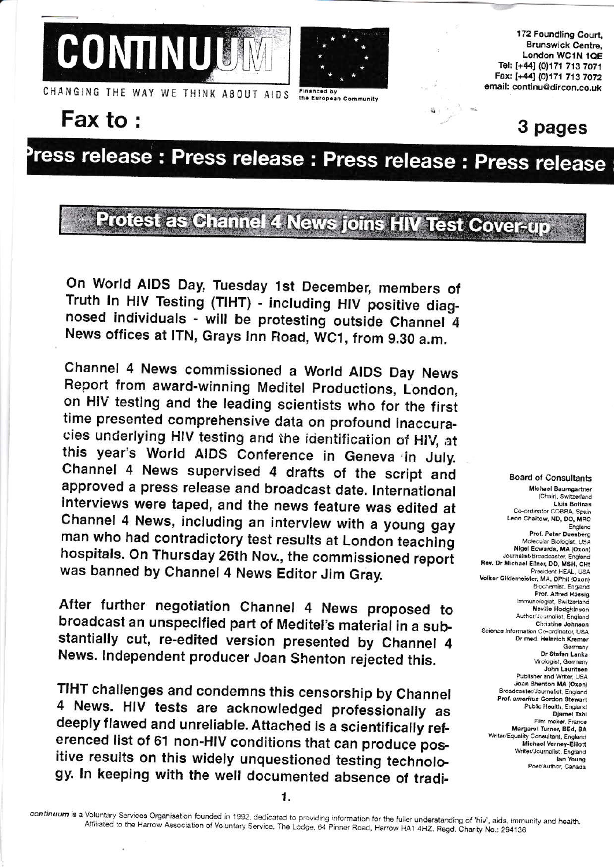



172 Foundling Court, **Brunswick Centre,** London WC1N 1QE Tel: [+44] (0)171 713 7071 Fax: [+44] (0)171 713 7072 email: continu@dircon.co.uk

CHANGING THE WAY WE THINK ABOUT AIDS

#### Fax to:

Financed h the European Community

### 3 pages

# ress release : Press release : Press release : Press release

### Protest as Channel 4 News Joins HIV Test Cover-up

On World AIDS Day, Tuesday 1st December, members of Truth In HIV Testing (TIHT) - including HIV positive diagnosed individuals - will be protesting outside Channel 4 News offices at ITN, Grays Inn Road, WC1, from 9.30 a.m.

Channel 4 News commissioned a World AIDS Day News Report from award-winning Meditel Productions, London, on HIV testing and the leading scientists who for the first time presented comprehensive data on profound inaccuracles underlying HIV testing and the identification of HIV, at this year's World AIDS Conference in Geneva in July. Channel 4 News supervised 4 drafts of the script and approved a press release and broadcast date. International interviews were taped, and the news feature was edited at Channel 4 News, including an interview with a young gay man who had contradictory test results at London teaching hospitals. On Thursday 26th Nov., the commissioned report was banned by Channel 4 News Editor Jim Gray.

After further negotiation Channel 4 News proposed to broadcast an unspecified part of Meditel's material in a substantially cut, re-edited version presented by Channel 4 News. Independent producer Joan Shenton rejected this.

TIHT challenges and condemns this censorship by Channel 4 News. HIV tests are acknowledged professionally as deeply flawed and unreliable. Attached is a scientifically referenced list of 61 non-HIV conditions that can produce positive results on this widely unquestioned testing technology. In keeping with the well documented absence of tradi-

**Board of Consultants** Michael Baumgartner (Chair), Switzerland Lluis Botinas Co-ordinator COBRA, Spain Leon Chaitow, ND, DO, MRO England Prof. Peter Duesberg Molecular Biologist, USA Nigel Edwards, MA (Oxon) Journalist/Broadcaster, England Rev. Dr Michael Ellner, DD, MSH, CHt President HEAL LISA Volker Gildemeister, MA, DPhil (Oxon) Biochemist, England<br>Prof. Alfred Hässig Immunologist, Switzerland Neville Hodakinson Author/Journalist, England Christine Johnson Science Information Co-ordinator, USA Dr med. Heinrich Kremer Germany Dr Stefan Lanka Virologist, Germany<br>John Lauritsen Publisher and Writer, USA Joan Shenton MA (Oxon) Broadcaster/Journalist, England Prof. emeritus Gordon Stewart Public Health, England Djamel Tahi Film maker, France Margaret Turner, BEd, BA Writer/Equality Consultant, England Michael Verney-Elliott Writer/Journalist, England lan Young Poet/Author, Canada

1.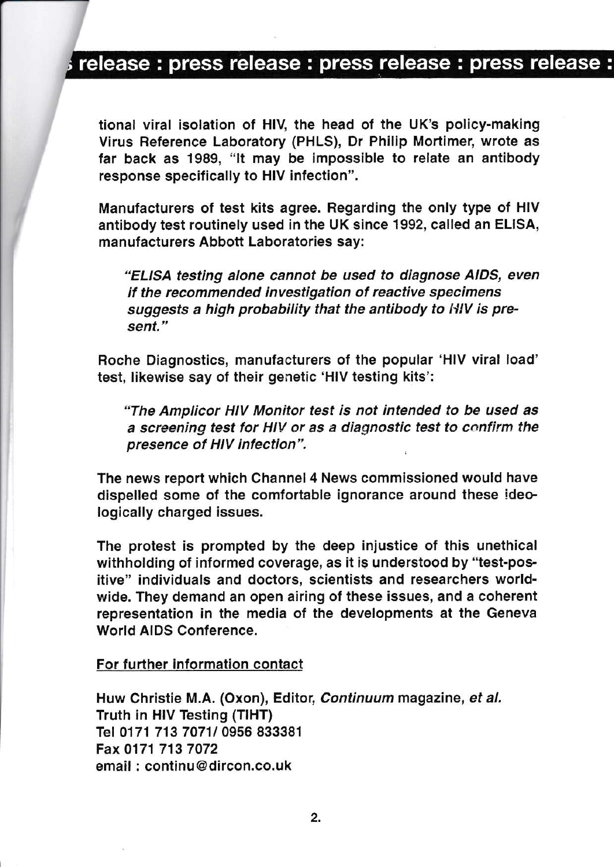### release : press release : press release : press release :

tional viral isolation of HIV, the head of the UK's policy-making Virus Beference Laboratory (PHLS), Dr Philip Mortimer, wrote as far back as 1989, "lt may be impossible to relate an antibody response specifically to HIV infection".

Manufacturers of test kits agree. Regarding the only type of HIV antibody test routinely used in the UK since 1992, called an ELISA, manufacturers Abbott Laboratories say:

"ELISA testing alone cannot be used to diagnose AIDS, even if the recommended investigation of reactive specimens suggests a high probability that the antibody to HIV is present."

Roche Diagnostics, manufacturers of the popular 'HIV viral load' test, likewise say of their genetic'HlV testing kits':

"The Amplicor HIV Monitor test is not lntended to be used as a screening test for HIV or as a diagnostic test to confirm the presence of Hlv infection".

The news report which Channel 4 News commissioned would have dispelled some of the comfortable ignorance around these ideologically charged issues.

The protest is prompted by the deep injustice of this unethical withholding of informed coverage, as it is understood by "test-positive" individuals and doctors, scientists and researchers worldwide. They demand an open airing of these issues, and a coherent representation in the media of the developments at the Geneva World AIDS Conference.

#### For further information contact

Huw Christie M.A. (Oxon), Editot, Continuum magazine, et al. Truth in HIV Testing (TIHT) Tel 0171 713 7071/ 0956 833381 Fax 0171 713 7072 email : continu@dircon,co.uk